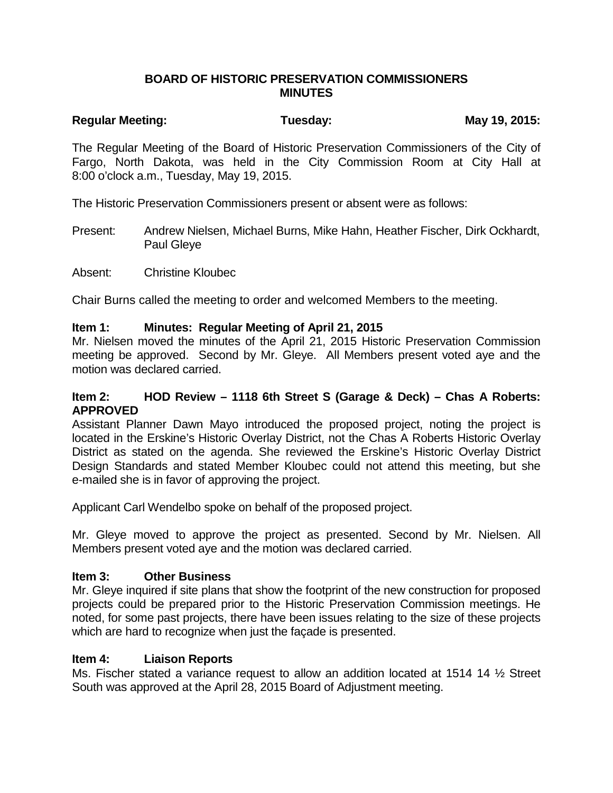### **BOARD OF HISTORIC PRESERVATION COMMISSIONERS MINUTES**

# Regular Meeting: Tuesday: Tuesday: May 19, 2015:

The Regular Meeting of the Board of Historic Preservation Commissioners of the City of Fargo, North Dakota, was held in the City Commission Room at City Hall at 8:00 o'clock a.m., Tuesday, May 19, 2015.

The Historic Preservation Commissioners present or absent were as follows:

Present: Andrew Nielsen, Michael Burns, Mike Hahn, Heather Fischer, Dirk Ockhardt, Paul Gleye

Absent: Christine Kloubec

Chair Burns called the meeting to order and welcomed Members to the meeting.

#### **Item 1: Minutes: Regular Meeting of April 21, 2015**

Mr. Nielsen moved the minutes of the April 21, 2015 Historic Preservation Commission meeting be approved. Second by Mr. Gleye. All Members present voted aye and the motion was declared carried.

#### **Item 2: HOD Review – 1118 6th Street S (Garage & Deck) – Chas A Roberts: APPROVED**

Assistant Planner Dawn Mayo introduced the proposed project, noting the project is located in the Erskine's Historic Overlay District, not the Chas A Roberts Historic Overlay District as stated on the agenda. She reviewed the Erskine's Historic Overlay District Design Standards and stated Member Kloubec could not attend this meeting, but she e-mailed she is in favor of approving the project.

Applicant Carl Wendelbo spoke on behalf of the proposed project.

Mr. Gleye moved to approve the project as presented. Second by Mr. Nielsen. All Members present voted aye and the motion was declared carried.

## **Item 3: Other Business**

Mr. Gleye inquired if site plans that show the footprint of the new construction for proposed projects could be prepared prior to the Historic Preservation Commission meetings. He noted, for some past projects, there have been issues relating to the size of these projects which are hard to recognize when just the façade is presented.

#### **Item 4: Liaison Reports**

Ms. Fischer stated a variance request to allow an addition located at 1514 14 ½ Street South was approved at the April 28, 2015 Board of Adjustment meeting.